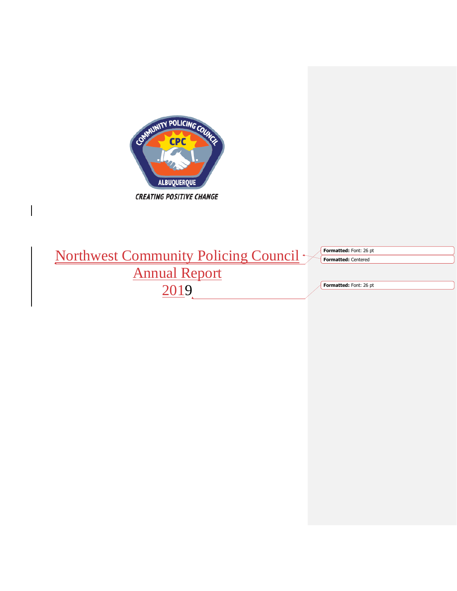

|                                             | <b>Formatted:</b> Font: 26 pt |
|---------------------------------------------|-------------------------------|
| Northwest Community Policing Council $\sim$ | <b>Formatted: Centered</b>    |
| <b>Annual Report</b>                        |                               |
|                                             | Formatted: Font: 26 pt        |

 $\breve{\supset}$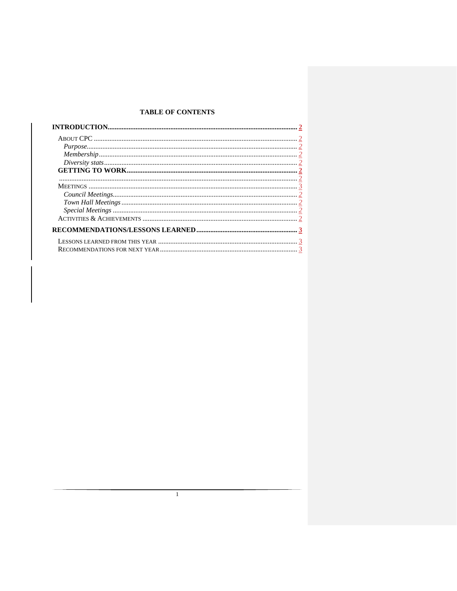# **TABLE OF CONTENTS**

 $\overline{1}$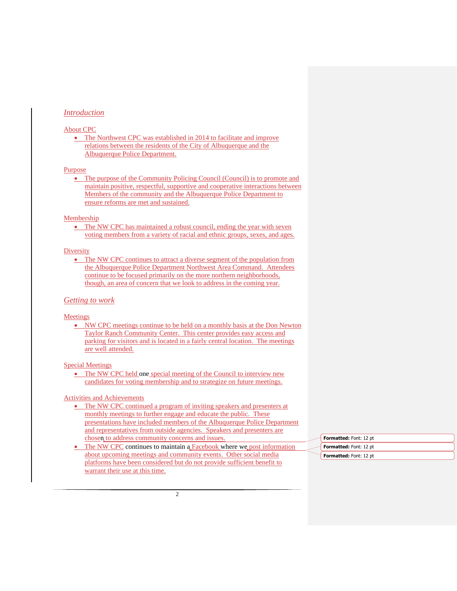## *Introduction*

### About CPC

• The Northwest CPC was established in 2014 to facilitate and improve relations between the residents of the City of Albuquerque and the Albuquerque Police Department.

#### Purpose

• The purpose of the Community Policing Council (Council) is to promote and maintain positive, respectful, supportive and cooperative interactions between Members of the community and the Albuquerque Police Department to ensure reforms are met and sustained.

#### Membership

• The NW CPC has maintained a robust council, ending the year with seven voting members from a variety of racial and ethnic groups, sexes, and ages.

## **Diversity**

• The NW CPC continues to attract a diverse segment of the population from the Albuquerque Police Department Northwest Area Command. Attendees continue to be focused primarily on the more northern neighborhoods, though, an area of concern that we look to address in the coming year.

#### *Getting to work*

#### Meetings

• NW CPC meetings continue to be held on a monthly basis at the Don Newton Taylor Ranch Community Center. This center provides easy access and parking for visitors and is located in a fairly central location. The meetings are well attended.

### Special Meetings

• The NW CPC held one special meeting of the Council to interview new candidates for voting membership and to strategize on future meetings.

## Activities and Achievements

- The NW CPC continued a program of inviting speakers and presenters at monthly meetings to further engage and educate the public. These presentations have included members of the Albuquerque Police Department and representatives from outside agencies. Speakers and presenters are chosen to address community concerns and issues.
- The NW CPC continues to maintain a Facebook where we post information about upcoming meetings and community events. Other social media platforms have been considered but do not provide sufficient benefit to warrant their use at this time.

| <b>Formatted:</b> Font: 12 pt |
|-------------------------------|
| <b>Formatted:</b> Font: 12 pt |
| <b>Formatted:</b> Font: 12 pt |